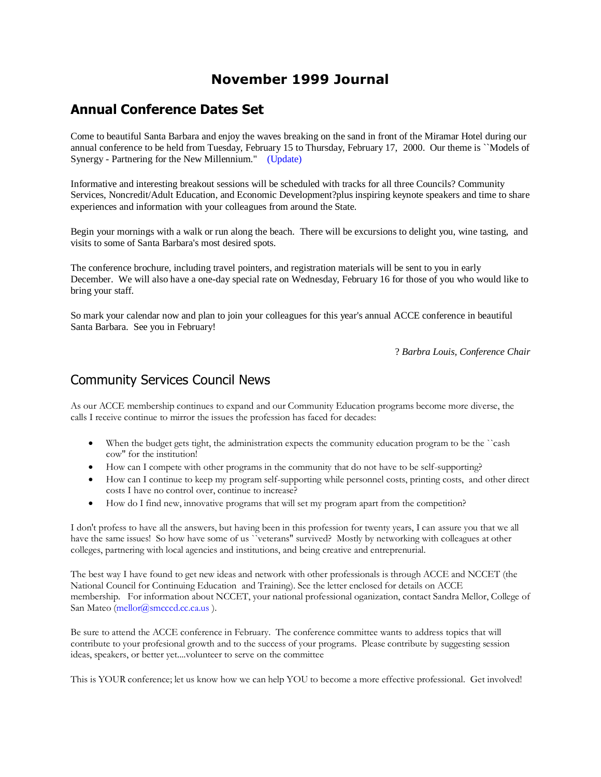## **November 1999 Journal**

## **Annual Conference Dates Set**

Come to beautiful Santa Barbara and enjoy the waves breaking on the sand in front of the Miramar Hotel during our annual conference to be held from Tuesday, February 15 to Thursday, February 17, 2000. Our theme is ``Models of Synergy - Partnering for the New Millennium." [\(Update\)](http://acceonline.org/continuing_education.html)

Informative and interesting breakout sessions will be scheduled with tracks for all three Councils? Community Services, Noncredit/Adult Education, and Economic Development?plus inspiring keynote speakers and time to share experiences and information with your colleagues from around the State.

Begin your mornings with a walk or run along the beach. There will be excursions to delight you, wine tasting, and visits to some of Santa Barbara's most desired spots.

The conference brochure, including travel pointers, and registration materials will be sent to you in early December. We will also have a one-day special rate on Wednesday, February 16 for those of you who would like to bring your staff.

So mark your calendar now and plan to join your colleagues for this year's annual ACCE conference in beautiful Santa Barbara. See you in February!

? *Barbra Louis, Conference Chair*

#### Community Services Council News

As our ACCE membership continues to expand and our Community Education programs become more diverse, the calls I receive continue to mirror the issues the profession has faced for decades:

- When the budget gets tight, the administration expects the community education program to be the ``cash cow" for the institution!
- How can I compete with other programs in the community that do not have to be self-supporting?
- How can I continue to keep my program self-supporting while personnel costs, printing costs, and other direct costs I have no control over, continue to increase?
- How do I find new, innovative programs that will set my program apart from the competition?

I don't profess to have all the answers, but having been in this profession for twenty years, I can assure you that we all have the same issues! So how have some of us ``veterans" survived? Mostly by networking with colleagues at other colleges, partnering with local agencies and institutions, and being creative and entreprenurial.

The best way I have found to get new ideas and network with other professionals is through ACCE and NCCET (the National Council for Continuing Education and Training). See the letter enclosed for details on ACCE membership. For information about NCCET, your national professional oganization, contact Sandra Mellor, College of San Mateo [\(mellor@smcccd.cc.ca.us](mailto:mellor@smcccd.cc.ca.us)).

Be sure to attend the ACCE conference in February. The conference committee wants to address topics that will contribute to your profesional growth and to the success of your programs. Please contribute by suggesting session ideas, speakers, or better yet....volunteer to serve on the committee

This is YOUR conference; let us know how we can help YOU to become a more effective professional. Get involved!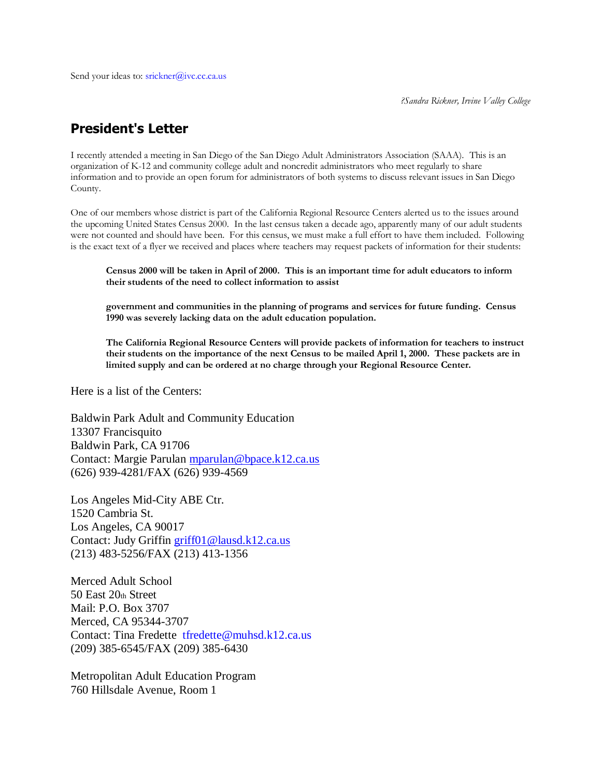*?Sandra Rickner, Irvine Valley College*

# **President's Letter**

I recently attended a meeting in San Diego of the San Diego Adult Administrators Association (SAAA). This is an organization of K-12 and community college adult and noncredit administrators who meet regularly to share information and to provide an open forum for administrators of both systems to discuss relevant issues in San Diego County.

One of our members whose district is part of the California Regional Resource Centers alerted us to the issues around the upcoming United States Census 2000. In the last census taken a decade ago, apparently many of our adult students were not counted and should have been. For this census, we must make a full effort to have them included. Following is the exact text of a flyer we received and places where teachers may request packets of information for their students:

**Census 2000 will be taken in April of 2000. This is an important time for adult educators to inform their students of the need to collect information to assist**

**government and communities in the planning of programs and services for future funding. Census 1990 was severely lacking data on the adult education population.**

**The California Regional Resource Centers will provide packets of information for teachers to instruct their students on the importance of the next Census to be mailed April 1, 2000. These packets are in limited supply and can be ordered at no charge through your Regional Resource Center.**

Here is a list of the Centers:

Baldwin Park Adult and Community Education 13307 Francisquito Baldwin Park, CA 91706 Contact: Margie Parulan [mparulan@bpace.k12.ca.us](mailto:mparulan@bpace.k12.ca.us) (626) 939-4281/FAX (626) 939-4569

Los Angeles Mid-City ABE Ctr. 1520 Cambria St. Los Angeles, CA 90017 Contact: Judy Griffin [griff01@lausd.k12.ca.us](mailto:griff01@lausd.k12.ca.us) (213) 483-5256/FAX (213) 413-1356

Merced Adult School 50 East 20th Street Mail: P.O. Box 3707 Merced, CA 95344-3707 Contact: Tina Fredette [tfredette@muhsd.k12.ca.us](mailto:tfredette@muhsd.k12.ca.us) (209) 385-6545/FAX (209) 385-6430

Metropolitan Adult Education Program 760 Hillsdale Avenue, Room 1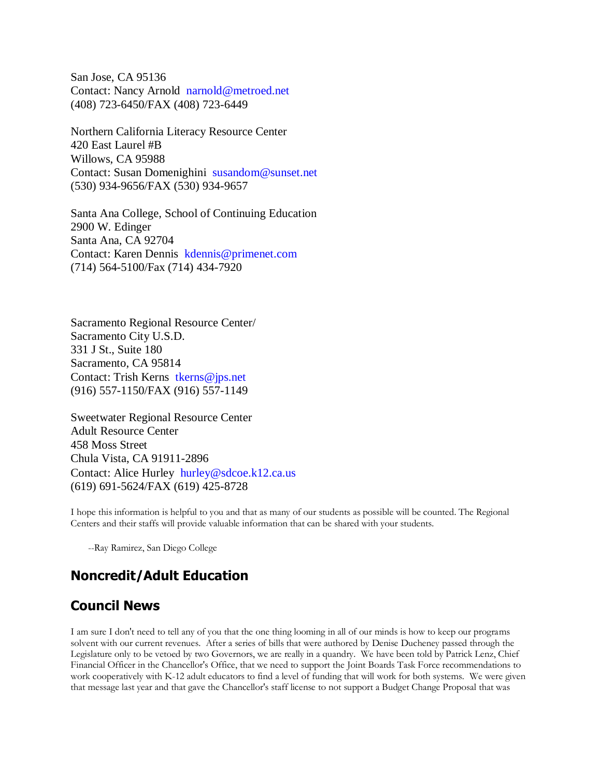San Jose, CA 95136 Contact: Nancy Arnold [narnold@metroed.net](mailto:narnold@metroed.net) (408) 723-6450/FAX (408) 723-6449

Northern California Literacy Resource Center 420 East Laurel #B Willows, CA 95988 Contact: Susan Domenighini [susandom@sunset.net](mailto:susandom@sunset.net) (530) 934-9656/FAX (530) 934-9657

Santa Ana College, School of Continuing Education 2900 W. Edinger Santa Ana, CA 92704 Contact: Karen Dennis [kdennis@primenet.com](mailto:kdennis@primenet.com) (714) 564-5100/Fax (714) 434-7920

Sacramento Regional Resource Center/ Sacramento City U.S.D. 331 J St., Suite 180 Sacramento, CA 95814 Contact: Trish Kerns [tkerns@jps.net](mailto:tkerns@jps.net) (916) 557-1150/FAX (916) 557-1149

Sweetwater Regional Resource Center Adult Resource Center 458 Moss Street Chula Vista, CA 91911-2896 Contact: Alice Hurley [hurley@sdcoe.k12.ca.us](mailto:hurley@sdcoe.k12.ca.us) (619) 691-5624/FAX (619) 425-8728

I hope this information is helpful to you and that as many of our students as possible will be counted. The Regional Centers and their staffs will provide valuable information that can be shared with your students.

--Ray Ramirez, San Diego College

## **Noncredit/Adult Education**

## **Council News**

I am sure I don't need to tell any of you that the one thing looming in all of our minds is how to keep our programs solvent with our current revenues. After a series of bills that were authored by Denise Ducheney passed through the Legislature only to be vetoed by two Governors, we are really in a quandry. We have been told by Patrick Lenz, Chief Financial Officer in the Chancellor's Office, that we need to support the Joint Boards Task Force recommendations to work cooperatively with K-12 adult educators to find a level of funding that will work for both systems. We were given that message last year and that gave the Chancellor's staff license to not support a Budget Change Proposal that was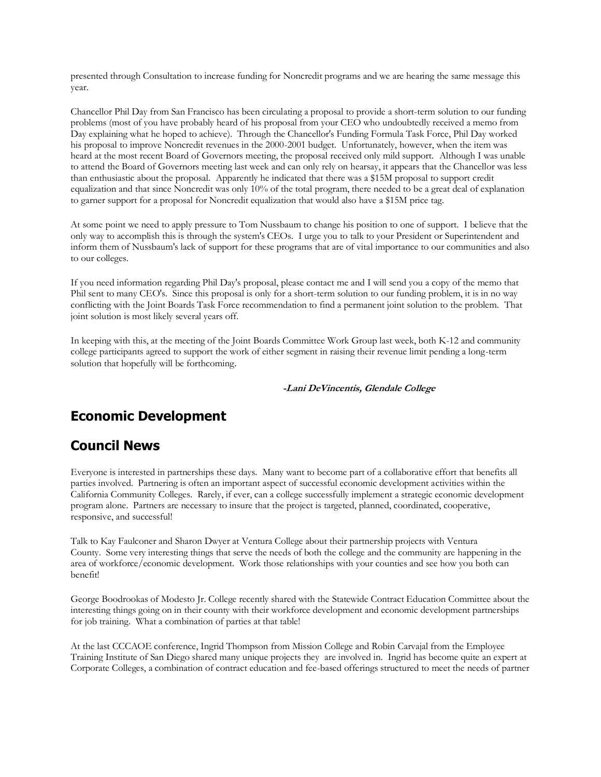presented through Consultation to increase funding for Noncredit programs and we are hearing the same message this year.

Chancellor Phil Day from San Francisco has been circulating a proposal to provide a short-term solution to our funding problems (most of you have probably heard of his proposal from your CEO who undoubtedly received a memo from Day explaining what he hoped to achieve). Through the Chancellor's Funding Formula Task Force, Phil Day worked his proposal to improve Noncredit revenues in the 2000-2001 budget. Unfortunately, however, when the item was heard at the most recent Board of Governors meeting, the proposal received only mild support. Although I was unable to attend the Board of Governors meeting last week and can only rely on hearsay, it appears that the Chancellor was less than enthusiastic about the proposal. Apparently he indicated that there was a \$15M proposal to support credit equalization and that since Noncredit was only 10% of the total program, there needed to be a great deal of explanation to garner support for a proposal for Noncredit equalization that would also have a \$15M price tag.

At some point we need to apply pressure to Tom Nussbaum to change his position to one of support. I believe that the only way to accomplish this is through the system's CEOs. I urge you to talk to your President or Superintendent and inform them of Nussbaum's lack of support for these programs that are of vital importance to our communities and also to our colleges.

If you need information regarding Phil Day's proposal, please contact me and I will send you a copy of the memo that Phil sent to many CEO's. Since this proposal is only for a short-term solution to our funding problem, it is in no way conflicting with the Joint Boards Task Force recommendation to find a permanent joint solution to the problem. That joint solution is most likely several years off.

In keeping with this, at the meeting of the Joint Boards Committee Work Group last week, both K-12 and community college participants agreed to support the work of either segment in raising their revenue limit pending a long-term solution that hopefully will be forthcoming.

#### **-Lani DeVincentis, Glendale College**

## **Economic Development**

## **Council News**

Everyone is interested in partnerships these days. Many want to become part of a collaborative effort that benefits all parties involved. Partnering is often an important aspect of successful economic development activities within the California Community Colleges. Rarely, if ever, can a college successfully implement a strategic economic development program alone. Partners are necessary to insure that the project is targeted, planned, coordinated, cooperative, responsive, and successful!

Talk to Kay Faulconer and Sharon Dwyer at Ventura College about their partnership projects with Ventura County. Some very interesting things that serve the needs of both the college and the community are happening in the area of workforce/economic development. Work those relationships with your counties and see how you both can benefit!

George Boodrookas of Modesto Jr. College recently shared with the Statewide Contract Education Committee about the interesting things going on in their county with their workforce development and economic development partnerships for job training. What a combination of parties at that table!

At the last CCCAOE conference, Ingrid Thompson from Mission College and Robin Carvajal from the Employee Training Institute of San Diego shared many unique projects they are involved in. Ingrid has become quite an expert at Corporate Colleges, a combination of contract education and fee-based offerings structured to meet the needs of partner